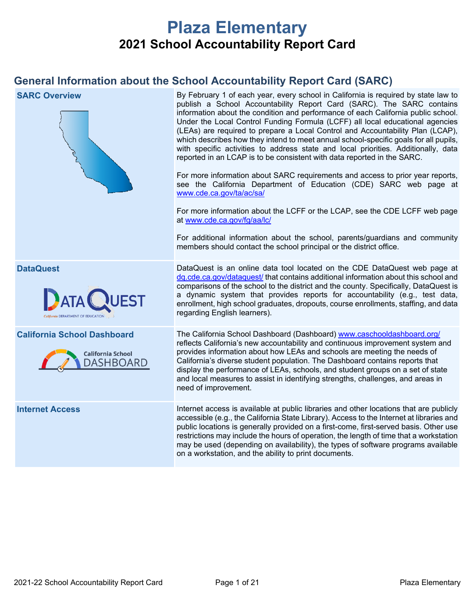# **Plaza Elementary 2021 School Accountability Report Card**

### **General Information about the School Accountability Report Card (SARC)**

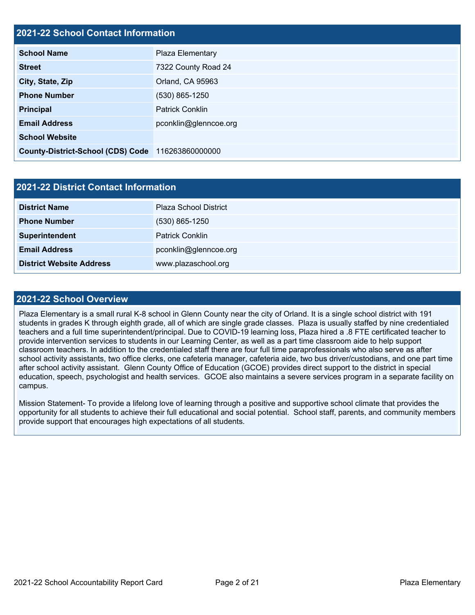# **2021-22 School Contact Information School Name** Plaza Elementary **Street** 7322 County Road 24 **City, State, Zip City, State, Zip City, State, Zip Orland**, CA 95963 **Phone Number** (530) 865-1250 **Principal** Patrick Conklin **Email Address** pconklin@glenncoe.org **School Website County-District-School (CDS) Code** 116263860000000

| 2021-22 District Contact Information |                              |  |  |  |
|--------------------------------------|------------------------------|--|--|--|
| <b>District Name</b>                 | <b>Plaza School District</b> |  |  |  |
| <b>Phone Number</b>                  | $(530)$ 865-1250             |  |  |  |
| Superintendent                       | <b>Patrick Conklin</b>       |  |  |  |
| <b>Email Address</b>                 | pconklin@glenncoe.org        |  |  |  |
| <b>District Website Address</b>      | www.plazaschool.org          |  |  |  |

#### **2021-22 School Overview**

Plaza Elementary is a small rural K-8 school in Glenn County near the city of Orland. It is a single school district with 191 students in grades K through eighth grade, all of which are single grade classes. Plaza is usually staffed by nine credentialed teachers and a full time superintendent/principal. Due to COVID-19 learning loss, Plaza hired a .8 FTE certificated teacher to provide intervention services to students in our Learning Center, as well as a part time classroom aide to help support classroom teachers. In addition to the credentialed staff there are four full time paraprofessionals who also serve as after school activity assistants, two office clerks, one cafeteria manager, cafeteria aide, two bus driver/custodians, and one part time after school activity assistant. Glenn County Office of Education (GCOE) provides direct support to the district in special education, speech, psychologist and health services. GCOE also maintains a severe services program in a separate facility on campus.

Mission Statement- To provide a lifelong love of learning through a positive and supportive school climate that provides the opportunity for all students to achieve their full educational and social potential. School staff, parents, and community members provide support that encourages high expectations of all students.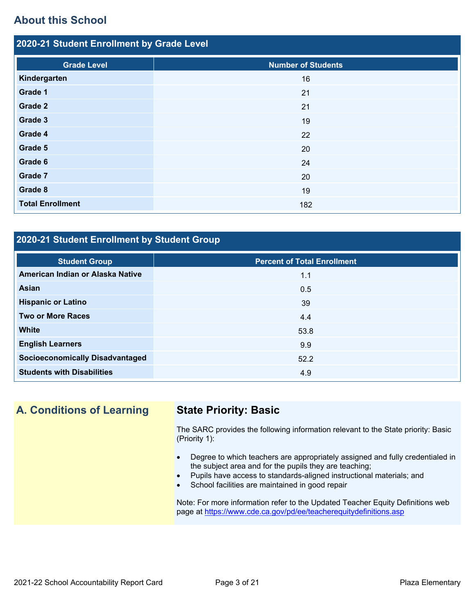### **About this School**

| 2020-21 Student Enrollment by Grade Level |                           |  |  |  |  |
|-------------------------------------------|---------------------------|--|--|--|--|
| <b>Grade Level</b>                        | <b>Number of Students</b> |  |  |  |  |
| Kindergarten                              | 16                        |  |  |  |  |
| Grade 1                                   | 21                        |  |  |  |  |
| <b>Grade 2</b>                            | 21                        |  |  |  |  |
| Grade 3                                   | 19                        |  |  |  |  |
| Grade 4                                   | 22                        |  |  |  |  |
| Grade 5                                   | 20                        |  |  |  |  |
| Grade 6                                   | 24                        |  |  |  |  |
| Grade 7                                   | 20                        |  |  |  |  |
| Grade 8                                   | 19                        |  |  |  |  |
| <b>Total Enrollment</b>                   | 182                       |  |  |  |  |

#### **2020-21 Student Enrollment by Student Group**

| <b>Student Group</b>                   | <b>Percent of Total Enrollment</b> |
|----------------------------------------|------------------------------------|
| American Indian or Alaska Native       | 1.1                                |
| Asian                                  | 0.5                                |
| <b>Hispanic or Latino</b>              | 39                                 |
| <b>Two or More Races</b>               | 4.4                                |
| White                                  | 53.8                               |
| <b>English Learners</b>                | 9.9                                |
| <b>Socioeconomically Disadvantaged</b> | 52.2                               |
| <b>Students with Disabilities</b>      | 4.9                                |

# **A. Conditions of Learning State Priority: Basic**

The SARC provides the following information relevant to the State priority: Basic (Priority 1):

- Degree to which teachers are appropriately assigned and fully credentialed in the subject area and for the pupils they are teaching;
- Pupils have access to standards-aligned instructional materials; and
- School facilities are maintained in good repair

Note: For more information refer to the Updated Teacher Equity Definitions web page at<https://www.cde.ca.gov/pd/ee/teacherequitydefinitions.asp>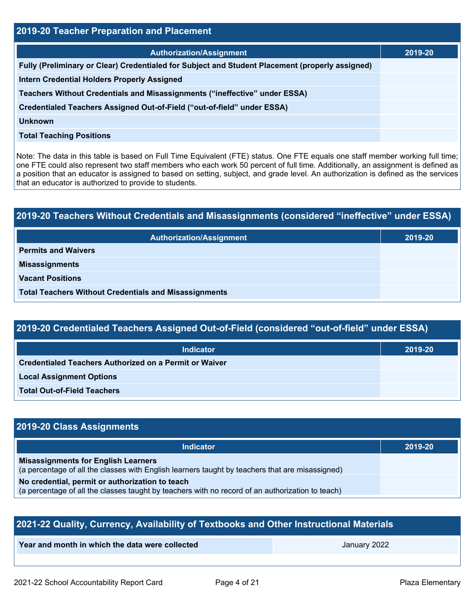| 2019-20 Teacher Preparation and Placement                                                       |         |  |  |  |
|-------------------------------------------------------------------------------------------------|---------|--|--|--|
| <b>Authorization/Assignment</b>                                                                 | 2019-20 |  |  |  |
| Fully (Preliminary or Clear) Credentialed for Subject and Student Placement (properly assigned) |         |  |  |  |
| <b>Intern Credential Holders Properly Assigned</b>                                              |         |  |  |  |
| Teachers Without Credentials and Misassignments ("ineffective" under ESSA)                      |         |  |  |  |
| Credentialed Teachers Assigned Out-of-Field ("out-of-field" under ESSA)                         |         |  |  |  |
| Unknown                                                                                         |         |  |  |  |
| <b>Total Teaching Positions</b>                                                                 |         |  |  |  |

Note: The data in this table is based on Full Time Equivalent (FTE) status. One FTE equals one staff member working full time; one FTE could also represent two staff members who each work 50 percent of full time. Additionally, an assignment is defined as a position that an educator is assigned to based on setting, subject, and grade level. An authorization is defined as the services that an educator is authorized to provide to students.

# **2019-20 Teachers Without Credentials and Misassignments (considered "ineffective" under ESSA) Authorization/Assignment 2019-20 Permits and Waivers Misassignments Vacant Positions Total Teachers Without Credentials and Misassignments**

| 2019-20 Credentialed Teachers Assigned Out-of-Field (considered "out-of-field" under ESSA) |         |  |  |  |  |
|--------------------------------------------------------------------------------------------|---------|--|--|--|--|
| <b>Indicator</b>                                                                           | 2019-20 |  |  |  |  |
| <b>Credentialed Teachers Authorized on a Permit or Waiver</b>                              |         |  |  |  |  |
| <b>Local Assignment Options</b>                                                            |         |  |  |  |  |
| <b>Total Out-of-Field Teachers</b>                                                         |         |  |  |  |  |

### **2019-20 Class Assignments**

| <b>Indicator</b>                                                                                                                                    | 2019-20 |
|-----------------------------------------------------------------------------------------------------------------------------------------------------|---------|
| <b>Misassignments for English Learners</b><br>(a percentage of all the classes with English learners taught by teachers that are misassigned)       |         |
| No credential, permit or authorization to teach<br>(a percentage of all the classes taught by teachers with no record of an authorization to teach) |         |

| 2021-22 Quality, Currency, Availability of Textbooks and Other Instructional Materials |  |  |  |  |  |  |  |
|----------------------------------------------------------------------------------------|--|--|--|--|--|--|--|
| Year and month in which the data were collected<br>January 2022                        |  |  |  |  |  |  |  |
|                                                                                        |  |  |  |  |  |  |  |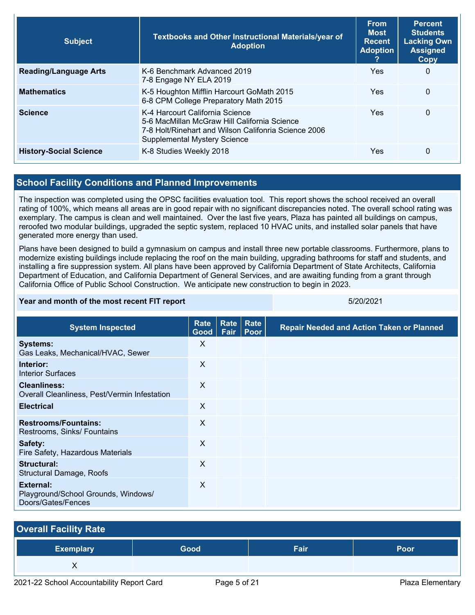| <b>Subject</b>                | Textbooks and Other Instructional Materials/year of<br><b>Adoption</b><br><b>Adoption</b>                                                                                      |            | <b>Percent</b><br><b>Students</b><br><b>Lacking Own</b><br><b>Assigned</b><br>Copy |
|-------------------------------|--------------------------------------------------------------------------------------------------------------------------------------------------------------------------------|------------|------------------------------------------------------------------------------------|
| <b>Reading/Language Arts</b>  | K-6 Benchmark Advanced 2019<br>7-8 Engage NY ELA 2019                                                                                                                          | <b>Yes</b> | 0                                                                                  |
| <b>Mathematics</b>            | K-5 Houghton Mifflin Harcourt GoMath 2015<br>6-8 CPM College Preparatory Math 2015                                                                                             | Yes        | $\Omega$                                                                           |
| <b>Science</b>                | K-4 Harcourt California Science<br>5-6 MacMillan McGraw Hill California Science<br>7-8 Holt/Rinehart and Wilson Califonria Science 2006<br><b>Supplemental Mystery Science</b> | Yes        | $\Omega$                                                                           |
| <b>History-Social Science</b> | K-8 Studies Weekly 2018                                                                                                                                                        | Yes        | $\Omega$                                                                           |

#### **School Facility Conditions and Planned Improvements**

The inspection was completed using the OPSC facilities evaluation tool. This report shows the school received an overall rating of 100%, which means all areas are in good repair with no significant discrepancies noted. The overall school rating was exemplary. The campus is clean and well maintained. Over the last five years, Plaza has painted all buildings on campus, reroofed two modular buildings, upgraded the septic system, replaced 10 HVAC units, and installed solar panels that have generated more energy than used.

Plans have been designed to build a gymnasium on campus and install three new portable classrooms. Furthermore, plans to modernize existing buildings include replacing the roof on the main building, upgrading bathrooms for staff and students, and installing a fire suppression system. All plans have been approved by California Department of State Architects, California Department of Education, and California Department of General Services, and are awaiting funding from a grant through California Office of Public School Construction. We anticipate new construction to begin in 2023.

#### **Year and month of the most recent FIT report** 5/20/2021

| <b>System Inspected</b>                                                | Rate<br>Good <sub>1</sub> | <b>Rate</b><br>Fair | Rate<br>Poor | <b>Repair Needed and Action Taken or Planned</b> |
|------------------------------------------------------------------------|---------------------------|---------------------|--------------|--------------------------------------------------|
| <b>Systems:</b><br>Gas Leaks, Mechanical/HVAC, Sewer                   | X                         |                     |              |                                                  |
| Interior:<br><b>Interior Surfaces</b>                                  | $\times$                  |                     |              |                                                  |
| <b>Cleanliness:</b><br>Overall Cleanliness, Pest/Vermin Infestation    | $\times$                  |                     |              |                                                  |
| <b>Electrical</b>                                                      | $\times$                  |                     |              |                                                  |
| <b>Restrooms/Fountains:</b><br>Restrooms, Sinks/ Fountains             | X                         |                     |              |                                                  |
| Safety:<br>Fire Safety, Hazardous Materials                            | $\times$                  |                     |              |                                                  |
| Structural:<br>Structural Damage, Roofs                                | $\times$                  |                     |              |                                                  |
| External:<br>Playground/School Grounds, Windows/<br>Doors/Gates/Fences | X                         |                     |              |                                                  |

| <b>Overall Facility Rate</b> |      |      |      |
|------------------------------|------|------|------|
| <b>Exemplary</b>             | Good | Fair | Poor |
| ∧                            |      |      |      |
|                              |      |      |      |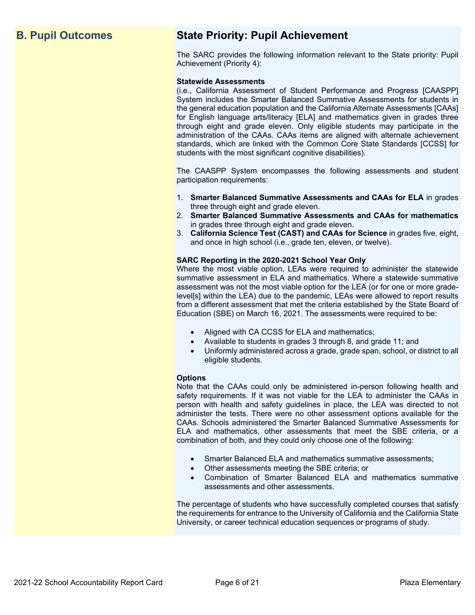### **B. Pupil Outcomes State Priority: Pupil Achievement**

The SARC provides the following information relevant to the State priority: Pupil Achievement (Priority 4):

#### **Statewide Assessments**

(i.e., California Assessment of Student Performance and Progress [CAASPP] System includes the Smarter Balanced Summative Assessments for students in the general education population and the California Alternate Assessments [CAAs] for English language arts/literacy [ELA] and mathematics given in grades three through eight and grade eleven. Only eligible students may participate in the administration of the CAAs. CAAs items are aligned with alternate achievement standards, which are linked with the Common Core State Standards [CCSS] for students with the most significant cognitive disabilities).

The CAASPP System encompasses the following assessments and student participation requirements:

- 1. **Smarter Balanced Summative Assessments and CAAs for ELA** in grades three through eight and grade eleven.
- 2. **Smarter Balanced Summative Assessments and CAAs for mathematics** in grades three through eight and grade eleven.
- 3. **California Science Test (CAST) and CAAs for Science** in grades five, eight, and once in high school (i.e., grade ten, eleven, or twelve).

#### **SARC Reporting in the 2020-2021 School Year Only**

Where the most viable option, LEAs were required to administer the statewide summative assessment in ELA and mathematics. Where a statewide summative assessment was not the most viable option for the LEA (or for one or more gradelevel[s] within the LEA) due to the pandemic, LEAs were allowed to report results from a different assessment that met the criteria established by the State Board of Education (SBE) on March 16, 2021. The assessments were required to be:

- Aligned with CA CCSS for ELA and mathematics;
- Available to students in grades 3 through 8, and grade 11; and
- Uniformly administered across a grade, grade span, school, or district to all eligible students.

#### **Options**

Note that the CAAs could only be administered in-person following health and safety requirements. If it was not viable for the LEA to administer the CAAs in person with health and safety guidelines in place, the LEA was directed to not administer the tests. There were no other assessment options available for the CAAs. Schools administered the Smarter Balanced Summative Assessments for ELA and mathematics, other assessments that meet the SBE criteria, or a combination of both, and they could only choose one of the following:

- Smarter Balanced ELA and mathematics summative assessments;
- Other assessments meeting the SBE criteria; or
- Combination of Smarter Balanced ELA and mathematics summative assessments and other assessments.

The percentage of students who have successfully completed courses that satisfy the requirements for entrance to the University of California and the California State University, or career technical education sequences or programs of study.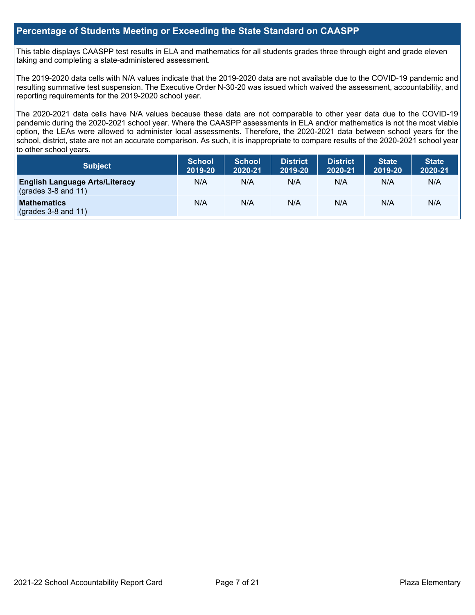#### **Percentage of Students Meeting or Exceeding the State Standard on CAASPP**

This table displays CAASPP test results in ELA and mathematics for all students grades three through eight and grade eleven taking and completing a state-administered assessment.

The 2019-2020 data cells with N/A values indicate that the 2019-2020 data are not available due to the COVID-19 pandemic and resulting summative test suspension. The Executive Order N-30-20 was issued which waived the assessment, accountability, and reporting requirements for the 2019-2020 school year.

The 2020-2021 data cells have N/A values because these data are not comparable to other year data due to the COVID-19 pandemic during the 2020-2021 school year. Where the CAASPP assessments in ELA and/or mathematics is not the most viable option, the LEAs were allowed to administer local assessments. Therefore, the 2020-2021 data between school years for the school, district, state are not an accurate comparison. As such, it is inappropriate to compare results of the 2020-2021 school year to other school years.

| Subject                                                        | <b>School</b><br>2019-20 | <b>School</b><br>2020-21 | <b>District</b><br>2019-20 | <b>District</b><br>2020-21 | <b>State</b><br>2019-20 | <b>State</b><br>2020-21 |
|----------------------------------------------------------------|--------------------------|--------------------------|----------------------------|----------------------------|-------------------------|-------------------------|
| <b>English Language Arts/Literacy</b><br>$(grades 3-8 and 11)$ | N/A                      | N/A                      | N/A                        | N/A                        | N/A                     | N/A                     |
| <b>Mathematics</b><br>$($ grades 3-8 and 11 $)$                | N/A                      | N/A                      | N/A                        | N/A                        | N/A                     | N/A                     |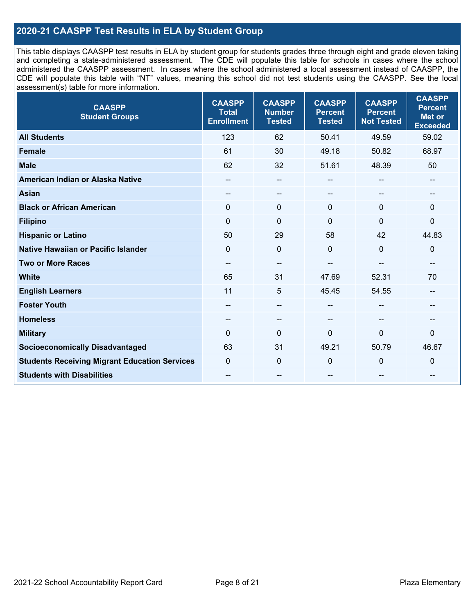#### **2020-21 CAASPP Test Results in ELA by Student Group**

This table displays CAASPP test results in ELA by student group for students grades three through eight and grade eleven taking and completing a state-administered assessment. The CDE will populate this table for schools in cases where the school administered the CAASPP assessment. In cases where the school administered a local assessment instead of CAASPP, the CDE will populate this table with "NT" values, meaning this school did not test students using the CAASPP. See the local assessment(s) table for more information.

| <b>CAASPP</b><br><b>Student Groups</b>               | <b>CAASPP</b><br><b>Total</b><br><b>Enrollment</b> | <b>CAASPP</b><br><b>Number</b><br><b>Tested</b> | <b>CAASPP</b><br><b>Percent</b><br><b>Tested</b> | <b>CAASPP</b><br><b>Percent</b><br><b>Not Tested</b> | <b>CAASPP</b><br><b>Percent</b><br><b>Met or</b><br><b>Exceeded</b> |
|------------------------------------------------------|----------------------------------------------------|-------------------------------------------------|--------------------------------------------------|------------------------------------------------------|---------------------------------------------------------------------|
| <b>All Students</b>                                  | 123                                                | 62                                              | 50.41                                            | 49.59                                                | 59.02                                                               |
| <b>Female</b>                                        | 61                                                 | 30                                              | 49.18                                            | 50.82                                                | 68.97                                                               |
| <b>Male</b>                                          | 62                                                 | 32                                              | 51.61                                            | 48.39                                                | 50                                                                  |
| American Indian or Alaska Native                     | --                                                 | $\sim$                                          | --                                               | --                                                   | --                                                                  |
| <b>Asian</b>                                         | --                                                 | --                                              |                                                  |                                                      | --                                                                  |
| <b>Black or African American</b>                     | $\Omega$                                           | $\mathbf 0$                                     | $\Omega$                                         | $\Omega$                                             | $\Omega$                                                            |
| <b>Filipino</b>                                      | $\mathbf 0$                                        | $\mathbf 0$                                     | $\mathbf{0}$                                     | $\mathbf 0$                                          | $\mathbf 0$                                                         |
| <b>Hispanic or Latino</b>                            | 50                                                 | 29                                              | 58                                               | 42                                                   | 44.83                                                               |
| Native Hawaiian or Pacific Islander                  | $\Omega$                                           | $\mathbf 0$                                     | $\Omega$                                         | $\mathbf{0}$                                         | $\mathbf 0$                                                         |
| <b>Two or More Races</b>                             | $-$                                                | $\overline{\phantom{a}}$                        |                                                  |                                                      | --                                                                  |
| <b>White</b>                                         | 65                                                 | 31                                              | 47.69                                            | 52.31                                                | 70                                                                  |
| <b>English Learners</b>                              | 11                                                 | 5                                               | 45.45                                            | 54.55                                                | $-$                                                                 |
| <b>Foster Youth</b>                                  | $\hspace{0.05cm}$ – $\hspace{0.05cm}$              | $\overline{\phantom{m}}$                        | --                                               | --                                                   | --                                                                  |
| <b>Homeless</b>                                      | --                                                 | $\overline{\phantom{m}}$                        | --                                               | --                                                   | --                                                                  |
| <b>Military</b>                                      | $\mathbf{0}$                                       | $\mathbf 0$                                     | $\mathbf{0}$                                     | $\mathbf 0$                                          | 0                                                                   |
| <b>Socioeconomically Disadvantaged</b>               | 63                                                 | 31                                              | 49.21                                            | 50.79                                                | 46.67                                                               |
| <b>Students Receiving Migrant Education Services</b> | $\mathbf 0$                                        | $\mathbf 0$                                     | 0                                                | $\mathbf 0$                                          | 0                                                                   |
| <b>Students with Disabilities</b>                    | $\hspace{0.05cm}$ – $\hspace{0.05cm}$              | $\overline{\phantom{m}}$                        | --                                               | --                                                   | --                                                                  |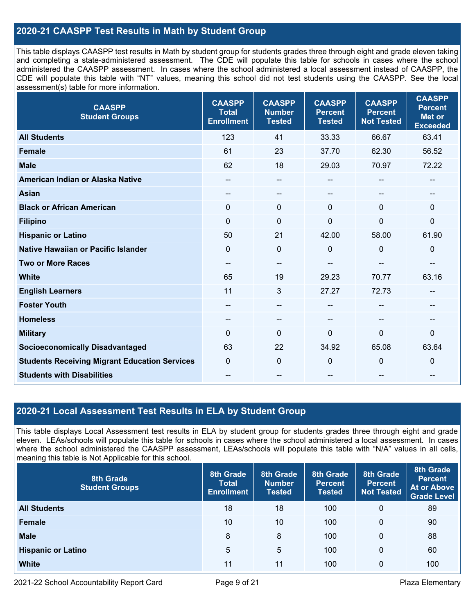#### **2020-21 CAASPP Test Results in Math by Student Group**

This table displays CAASPP test results in Math by student group for students grades three through eight and grade eleven taking and completing a state-administered assessment. The CDE will populate this table for schools in cases where the school administered the CAASPP assessment. In cases where the school administered a local assessment instead of CAASPP, the CDE will populate this table with "NT" values, meaning this school did not test students using the CAASPP. See the local assessment(s) table for more information.

| <b>CAASPP</b><br><b>Student Groups</b>               | <b>CAASPP</b><br><b>Total</b><br><b>Enrollment</b> | <b>CAASPP</b><br><b>Number</b><br><b>Tested</b> | <b>CAASPP</b><br><b>Percent</b><br><b>Tested</b> | <b>CAASPP</b><br><b>Percent</b><br><b>Not Tested</b> | <b>CAASPP</b><br><b>Percent</b><br><b>Met or</b><br><b>Exceeded</b> |
|------------------------------------------------------|----------------------------------------------------|-------------------------------------------------|--------------------------------------------------|------------------------------------------------------|---------------------------------------------------------------------|
| <b>All Students</b>                                  | 123                                                | 41                                              | 33.33                                            | 66.67                                                | 63.41                                                               |
| <b>Female</b>                                        | 61                                                 | 23                                              | 37.70                                            | 62.30                                                | 56.52                                                               |
| <b>Male</b>                                          | 62                                                 | 18                                              | 29.03                                            | 70.97                                                | 72.22                                                               |
| American Indian or Alaska Native                     | --                                                 | --                                              |                                                  | --                                                   | $\sim$                                                              |
| <b>Asian</b>                                         | $\hspace{0.05cm}$ – $\hspace{0.05cm}$              | --                                              | --                                               |                                                      | $\qquad \qquad -$                                                   |
| <b>Black or African American</b>                     | $\mathbf{0}$                                       | 0                                               | $\mathbf{0}$                                     | $\Omega$                                             | $\mathbf{0}$                                                        |
| <b>Filipino</b>                                      | $\mathbf 0$                                        | $\mathbf 0$                                     | $\mathbf{0}$                                     | 0                                                    | $\mathbf 0$                                                         |
| <b>Hispanic or Latino</b>                            | 50                                                 | 21                                              | 42.00                                            | 58.00                                                | 61.90                                                               |
| <b>Native Hawaiian or Pacific Islander</b>           | $\Omega$                                           | $\mathbf 0$                                     | $\mathbf 0$                                      | $\mathbf{0}$                                         | $\mathbf 0$                                                         |
| <b>Two or More Races</b>                             | --                                                 | --                                              |                                                  | --                                                   | $- -$                                                               |
| <b>White</b>                                         | 65                                                 | 19                                              | 29.23                                            | 70.77                                                | 63.16                                                               |
| <b>English Learners</b>                              | 11                                                 | 3                                               | 27.27                                            | 72.73                                                | --                                                                  |
| <b>Foster Youth</b>                                  | --                                                 | --                                              |                                                  |                                                      |                                                                     |
| <b>Homeless</b>                                      | $\overline{\phantom{a}}$                           | $\qquad \qquad -$                               | $- -$                                            | $-$                                                  | $\qquad \qquad -$                                                   |
| <b>Military</b>                                      | $\mathbf 0$                                        | 0                                               | $\mathbf 0$                                      | 0                                                    | $\mathbf 0$                                                         |
| <b>Socioeconomically Disadvantaged</b>               | 63                                                 | 22                                              | 34.92                                            | 65.08                                                | 63.64                                                               |
| <b>Students Receiving Migrant Education Services</b> | $\mathbf{0}$                                       | 0                                               | $\mathbf 0$                                      | 0                                                    | $\mathbf 0$                                                         |
| <b>Students with Disabilities</b>                    | --                                                 | --                                              | $- -$                                            | --                                                   | --                                                                  |

#### **2020-21 Local Assessment Test Results in ELA by Student Group**

This table displays Local Assessment test results in ELA by student group for students grades three through eight and grade eleven. LEAs/schools will populate this table for schools in cases where the school administered a local assessment. In cases where the school administered the CAASPP assessment, LEAs/schools will populate this table with "N/A" values in all cells, meaning this table is Not Applicable for this school.

| 8th Grade<br><b>Student Groups</b> | 8th Grade<br><b>Total</b><br><b>Enrollment</b> | 8th Grade<br><b>Number</b><br><b>Tested</b> | 8th Grade<br><b>Percent</b><br><b>Tested</b> | 8th Grade<br><b>Percent</b><br><b>Not Tested</b> | 8th Grade<br><b>Percent</b><br><b>At or Above</b><br><b>Grade Level</b> |
|------------------------------------|------------------------------------------------|---------------------------------------------|----------------------------------------------|--------------------------------------------------|-------------------------------------------------------------------------|
| <b>All Students</b>                | 18                                             | 18                                          | 100                                          | 0                                                | 89                                                                      |
| <b>Female</b>                      | 10                                             | 10                                          | 100                                          | 0                                                | 90                                                                      |
| <b>Male</b>                        | 8                                              | 8                                           | 100                                          | 0                                                | 88                                                                      |
| <b>Hispanic or Latino</b>          | 5                                              | 5                                           | 100                                          | 0                                                | 60                                                                      |
| <b>White</b>                       | 11                                             | 11                                          | 100                                          | 0                                                | 100                                                                     |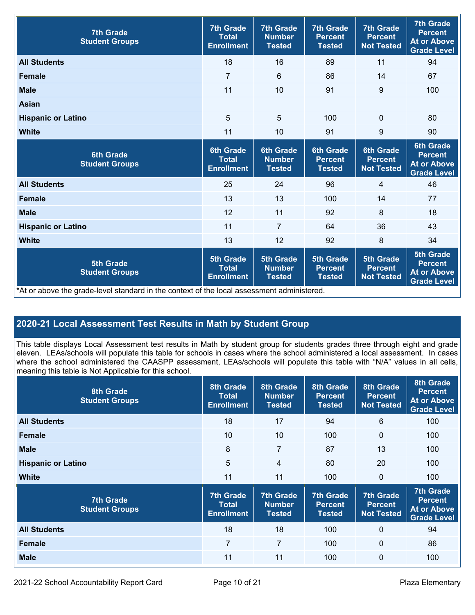| <b>7th Grade</b><br><b>Student Groups</b>                                                                                               | <b>7th Grade</b><br><b>Total</b><br><b>Enrollment</b> | <b>7th Grade</b><br><b>Number</b><br><b>Tested</b> | <b>7th Grade</b><br><b>Percent</b><br><b>Tested</b> | <b>7th Grade</b><br><b>Percent</b><br><b>Not Tested</b> | <b>7th Grade</b><br><b>Percent</b><br><b>At or Above</b><br>Grade Level        |
|-----------------------------------------------------------------------------------------------------------------------------------------|-------------------------------------------------------|----------------------------------------------------|-----------------------------------------------------|---------------------------------------------------------|--------------------------------------------------------------------------------|
| <b>All Students</b>                                                                                                                     | 18                                                    | 16                                                 | 89                                                  | 11                                                      | 94                                                                             |
| <b>Female</b>                                                                                                                           | $\overline{7}$                                        | $6\phantom{1}$                                     | 86                                                  | 14                                                      | 67                                                                             |
| <b>Male</b>                                                                                                                             | 11                                                    | 10                                                 | 91                                                  | 9                                                       | 100                                                                            |
| <b>Asian</b>                                                                                                                            |                                                       |                                                    |                                                     |                                                         |                                                                                |
| <b>Hispanic or Latino</b>                                                                                                               | 5                                                     | $\overline{5}$                                     | 100                                                 | $\mathbf 0$                                             | 80                                                                             |
| <b>White</b>                                                                                                                            | 11                                                    | 10                                                 | 91                                                  | 9                                                       | 90                                                                             |
| <b>6th Grade</b><br><b>Student Groups</b>                                                                                               | <b>6th Grade</b><br><b>Total</b><br><b>Enrollment</b> | <b>6th Grade</b><br><b>Number</b><br><b>Tested</b> | <b>6th Grade</b><br><b>Percent</b><br><b>Tested</b> | <b>6th Grade</b><br><b>Percent</b><br><b>Not Tested</b> | <b>6th Grade</b><br><b>Percent</b><br><b>At or Above</b><br><b>Grade Level</b> |
| <b>All Students</b>                                                                                                                     | 25                                                    | 24                                                 | 96                                                  | 4                                                       | 46                                                                             |
| <b>Female</b>                                                                                                                           | 13                                                    | 13                                                 | 100                                                 | 14                                                      | 77                                                                             |
| <b>Male</b>                                                                                                                             | 12                                                    | 11                                                 | 92                                                  | 8                                                       | 18                                                                             |
| <b>Hispanic or Latino</b>                                                                                                               | 11                                                    | $\overline{7}$                                     | 64                                                  | 36                                                      | 43                                                                             |
| <b>White</b>                                                                                                                            | 13                                                    | 12                                                 | 92                                                  | 8                                                       | 34                                                                             |
| <b>5th Grade</b><br><b>Student Groups</b><br>*At or above the grade-level standard in the context of the local assessment administered. | <b>5th Grade</b><br><b>Total</b><br><b>Enrollment</b> | <b>5th Grade</b><br><b>Number</b><br><b>Tested</b> | <b>5th Grade</b><br><b>Percent</b><br><b>Tested</b> | <b>5th Grade</b><br><b>Percent</b><br><b>Not Tested</b> | <b>5th Grade</b><br><b>Percent</b><br><b>At or Above</b><br><b>Grade Level</b> |

#### **2020-21 Local Assessment Test Results in Math by Student Group**

This table displays Local Assessment test results in Math by student group for students grades three through eight and grade eleven. LEAs/schools will populate this table for schools in cases where the school administered a local assessment. In cases where the school administered the CAASPP assessment, LEAs/schools will populate this table with "N/A" values in all cells, meaning this table is Not Applicable for this school.

| <b>8th Grade</b><br><b>Student Groups</b> | 8th Grade<br>Total<br><b>Enrollment</b>               | 8th Grade<br><b>Number</b><br><b>Tested</b>        | 8th Grade<br><b>Percent</b><br><b>Tested</b>        | 8th Grade<br><b>Percent</b><br><b>Not Tested</b>        | 8th Grade<br><b>Percent</b><br><b>At or Above</b><br><b>Grade Level</b>        |
|-------------------------------------------|-------------------------------------------------------|----------------------------------------------------|-----------------------------------------------------|---------------------------------------------------------|--------------------------------------------------------------------------------|
| <b>All Students</b>                       | 18                                                    | 17                                                 | 94                                                  | 6                                                       | 100                                                                            |
| <b>Female</b>                             | 10                                                    | 10                                                 | 100                                                 | $\mathbf{0}$                                            | 100                                                                            |
| <b>Male</b>                               | 8                                                     | 7                                                  | 87                                                  | 13                                                      | 100                                                                            |
| <b>Hispanic or Latino</b>                 | 5                                                     | $\overline{4}$                                     | 80                                                  | 20                                                      | 100                                                                            |
| <b>White</b>                              | 11                                                    | 11                                                 | 100                                                 | 0                                                       | 100                                                                            |
| <b>7th Grade</b><br><b>Student Groups</b> | <b>7th Grade</b><br><b>Total</b><br><b>Enrollment</b> | <b>7th Grade</b><br><b>Number</b><br><b>Tested</b> | <b>7th Grade</b><br><b>Percent</b><br><b>Tested</b> | <b>7th Grade</b><br><b>Percent</b><br><b>Not Tested</b> | <b>7th Grade</b><br><b>Percent</b><br><b>At or Above</b><br><b>Grade Level</b> |
| <b>All Students</b>                       | 18                                                    | 18                                                 | 100                                                 | $\mathbf{0}$                                            | 94                                                                             |
| <b>Female</b>                             | $\overline{7}$                                        | $\overline{7}$                                     | 100                                                 | $\mathbf{0}$                                            | 86                                                                             |
| <b>Male</b>                               | 11                                                    | 11                                                 | 100                                                 | 0                                                       | 100                                                                            |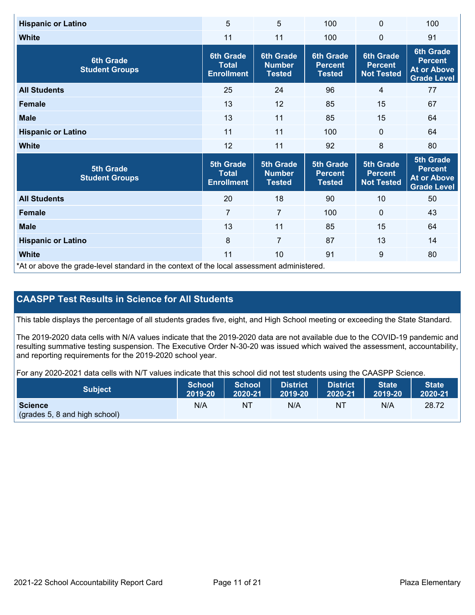| <b>Hispanic or Latino</b>                 | 5                                                     | 5                                                  | 100                                                 | 0                                                       | 100                                                                            |
|-------------------------------------------|-------------------------------------------------------|----------------------------------------------------|-----------------------------------------------------|---------------------------------------------------------|--------------------------------------------------------------------------------|
| <b>White</b>                              | 11                                                    | 11                                                 | 100                                                 | 0                                                       | 91                                                                             |
| <b>6th Grade</b><br><b>Student Groups</b> | <b>6th Grade</b><br><b>Total</b><br><b>Enrollment</b> | <b>6th Grade</b><br><b>Number</b><br><b>Tested</b> | <b>6th Grade</b><br><b>Percent</b><br><b>Tested</b> | <b>6th Grade</b><br><b>Percent</b><br><b>Not Tested</b> | <b>6th Grade</b><br><b>Percent</b><br><b>At or Above</b><br><b>Grade Level</b> |
| <b>All Students</b>                       | 25                                                    | 24                                                 | 96                                                  | 4                                                       | 77                                                                             |
| <b>Female</b>                             | 13                                                    | 12                                                 | 85                                                  | 15                                                      | 67                                                                             |
| <b>Male</b>                               | 13                                                    | 11                                                 | 85                                                  | 15                                                      | 64                                                                             |
| <b>Hispanic or Latino</b>                 | 11                                                    | 11                                                 | 100                                                 | $\mathbf 0$                                             | 64                                                                             |
|                                           |                                                       |                                                    |                                                     |                                                         |                                                                                |
| <b>White</b>                              | 12                                                    | 11                                                 | 92                                                  | 8                                                       | 80                                                                             |
| <b>5th Grade</b><br><b>Student Groups</b> | <b>5th Grade</b><br><b>Total</b><br><b>Enrollment</b> | <b>5th Grade</b><br><b>Number</b><br><b>Tested</b> | <b>5th Grade</b><br><b>Percent</b><br><b>Tested</b> | <b>5th Grade</b><br><b>Percent</b><br><b>Not Tested</b> | <b>5th Grade</b><br><b>Percent</b><br><b>At or Above</b><br><b>Grade Level</b> |
| <b>All Students</b>                       | 20                                                    | 18                                                 | 90                                                  | 10                                                      | 50                                                                             |
| Female                                    | $\overline{7}$                                        | $\overline{7}$                                     | 100                                                 | $\mathbf 0$                                             | 43                                                                             |
| <b>Male</b>                               | 13                                                    | 11                                                 | 85                                                  | 15                                                      | 64                                                                             |
| <b>Hispanic or Latino</b>                 | 8                                                     | $\overline{7}$                                     | 87                                                  | 13                                                      | 14                                                                             |
| <b>White</b>                              | 11                                                    | 10                                                 | 91                                                  | 9                                                       | 80                                                                             |

#### **CAASPP Test Results in Science for All Students**

This table displays the percentage of all students grades five, eight, and High School meeting or exceeding the State Standard.

The 2019-2020 data cells with N/A values indicate that the 2019-2020 data are not available due to the COVID-19 pandemic and resulting summative testing suspension. The Executive Order N-30-20 was issued which waived the assessment, accountability, and reporting requirements for the 2019-2020 school year.

For any 2020-2021 data cells with N/T values indicate that this school did not test students using the CAASPP Science.

| <b>Subject</b>                                  | <b>School</b> | <b>School</b> | <b>District</b> | District | <b>State</b> | <b>State</b> |
|-------------------------------------------------|---------------|---------------|-----------------|----------|--------------|--------------|
|                                                 | 2019-20       | 2020-21       | 2019-20         | 2020-21  | 2019-20      | 2020-21      |
| <b>Science</b><br>(grades 5, 8 and high school) | N/A           | ΝT            | N/A             | NT       | N/A          | 28.72        |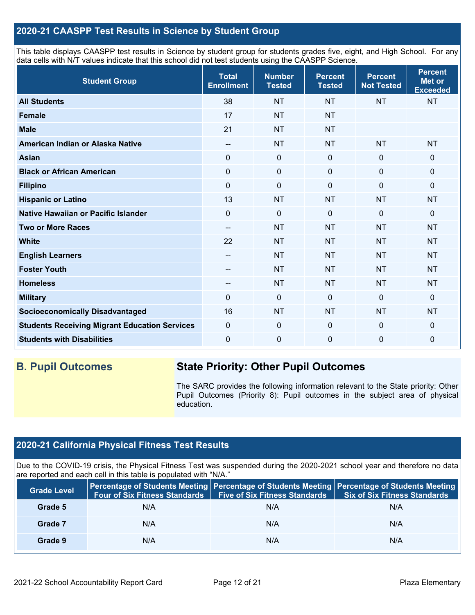#### **2020-21 CAASPP Test Results in Science by Student Group**

This table displays CAASPP test results in Science by student group for students grades five, eight, and High School. For any data cells with N/T values indicate that this school did not test students using the CAASPP Science.

| <b>Student Group</b>                                 | <b>Total</b><br><b>Enrollment</b> | <b>Number</b><br><b>Tested</b> | <b>Percent</b><br><b>Tested</b> | <b>Percent</b><br><b>Not Tested</b> | <b>Percent</b><br><b>Met or</b><br><b>Exceeded</b> |
|------------------------------------------------------|-----------------------------------|--------------------------------|---------------------------------|-------------------------------------|----------------------------------------------------|
| <b>All Students</b>                                  | 38                                | <b>NT</b>                      | <b>NT</b>                       | <b>NT</b>                           | <b>NT</b>                                          |
| <b>Female</b>                                        | 17                                | <b>NT</b>                      | <b>NT</b>                       |                                     |                                                    |
| <b>Male</b>                                          | 21                                | <b>NT</b>                      | <b>NT</b>                       |                                     |                                                    |
| American Indian or Alaska Native                     | --                                | <b>NT</b>                      | <b>NT</b>                       | <b>NT</b>                           | <b>NT</b>                                          |
| <b>Asian</b>                                         | 0                                 | $\mathbf 0$                    | $\mathbf 0$                     | $\mathbf 0$                         | 0                                                  |
| <b>Black or African American</b>                     | 0                                 | $\pmb{0}$                      | $\pmb{0}$                       | $\mathbf 0$                         | 0                                                  |
| <b>Filipino</b>                                      | 0                                 | $\mathbf 0$                    | $\Omega$                        | $\mathbf 0$                         | $\Omega$                                           |
| <b>Hispanic or Latino</b>                            | 13                                | <b>NT</b>                      | <b>NT</b>                       | <b>NT</b>                           | <b>NT</b>                                          |
| Native Hawaiian or Pacific Islander                  | 0                                 | $\mathbf 0$                    | $\Omega$                        | $\overline{0}$                      | 0                                                  |
| <b>Two or More Races</b>                             | --                                | <b>NT</b>                      | <b>NT</b>                       | <b>NT</b>                           | <b>NT</b>                                          |
| <b>White</b>                                         | 22                                | <b>NT</b>                      | <b>NT</b>                       | <b>NT</b>                           | <b>NT</b>                                          |
| <b>English Learners</b>                              | $\hspace{0.05cm} \ldots$          | <b>NT</b>                      | <b>NT</b>                       | <b>NT</b>                           | <b>NT</b>                                          |
| <b>Foster Youth</b>                                  | --                                | <b>NT</b>                      | <b>NT</b>                       | <b>NT</b>                           | <b>NT</b>                                          |
| <b>Homeless</b>                                      | --                                | <b>NT</b>                      | <b>NT</b>                       | <b>NT</b>                           | <b>NT</b>                                          |
| <b>Military</b>                                      | $\Omega$                          | $\pmb{0}$                      | $\Omega$                        | $\mathbf 0$                         | $\mathbf 0$                                        |
| <b>Socioeconomically Disadvantaged</b>               | 16                                | <b>NT</b>                      | <b>NT</b>                       | <b>NT</b>                           | <b>NT</b>                                          |
| <b>Students Receiving Migrant Education Services</b> | 0                                 | $\mathbf 0$                    | $\Omega$                        | $\mathbf 0$                         | 0                                                  |
| <b>Students with Disabilities</b>                    | 0                                 | $\mathbf 0$                    | 0                               | $\overline{0}$                      | 0                                                  |

# **B. Pupil Outcomes State Priority: Other Pupil Outcomes**

The SARC provides the following information relevant to the State priority: Other Pupil Outcomes (Priority 8): Pupil outcomes in the subject area of physical education.

#### **2020-21 California Physical Fitness Test Results**

Due to the COVID-19 crisis, the Physical Fitness Test was suspended during the 2020-2021 school year and therefore no data are reported and each cell in this table is populated with "N/A."

| <b>Grade Level</b> | Four of Six Fitness Standards   Five of Six Fitness Standards |     | Percentage of Students Meeting Percentage of Students Meeting Percentage of Students Meeting<br><b>Six of Six Fitness Standards</b> |
|--------------------|---------------------------------------------------------------|-----|-------------------------------------------------------------------------------------------------------------------------------------|
| Grade 5            | N/A                                                           | N/A | N/A                                                                                                                                 |
| Grade 7            | N/A                                                           | N/A | N/A                                                                                                                                 |
| Grade 9            | N/A                                                           | N/A | N/A                                                                                                                                 |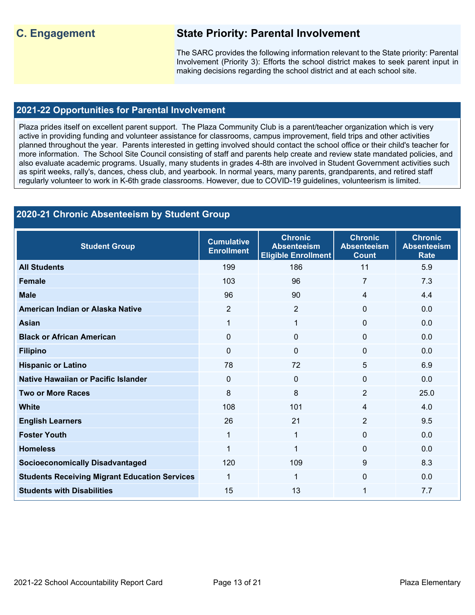### **C. Engagement State Priority: Parental Involvement**

The SARC provides the following information relevant to the State priority: Parental Involvement (Priority 3): Efforts the school district makes to seek parent input in making decisions regarding the school district and at each school site.

#### **2021-22 Opportunities for Parental Involvement**

Plaza prides itself on excellent parent support. The Plaza Community Club is a parent/teacher organization which is very active in providing funding and volunteer assistance for classrooms, campus improvement, field trips and other activities planned throughout the year. Parents interested in getting involved should contact the school office or their child's teacher for more information. The School Site Council consisting of staff and parents help create and review state mandated policies, and also evaluate academic programs. Usually, many students in grades 4-8th are involved in Student Government activities such as spirit weeks, rally's, dances, chess club, and yearbook. In normal years, many parents, grandparents, and retired staff regularly volunteer to work in K-6th grade classrooms. However, due to COVID-19 guidelines, volunteerism is limited.

#### **2020-21 Chronic Absenteeism by Student Group**

| <b>Student Group</b>                                 | <b>Cumulative</b><br><b>Enrollment</b> | <b>Chronic</b><br><b>Absenteeism</b><br><b>Eligible Enrollment</b> | <b>Chronic</b><br><b>Absenteeism</b><br><b>Count</b> | <b>Chronic</b><br><b>Absenteeism</b><br><b>Rate</b> |
|------------------------------------------------------|----------------------------------------|--------------------------------------------------------------------|------------------------------------------------------|-----------------------------------------------------|
| <b>All Students</b>                                  | 199                                    | 186                                                                | 11                                                   | 5.9                                                 |
| <b>Female</b>                                        | 103                                    | 96                                                                 | 7                                                    | 7.3                                                 |
| <b>Male</b>                                          | 96                                     | 90                                                                 | 4                                                    | 4.4                                                 |
| American Indian or Alaska Native                     | 2                                      | $\overline{2}$                                                     | $\Omega$                                             | 0.0                                                 |
| <b>Asian</b>                                         | 1                                      | $\mathbf{1}$                                                       | $\Omega$                                             | 0.0                                                 |
| <b>Black or African American</b>                     | $\mathbf{0}$                           | $\Omega$                                                           | 0                                                    | 0.0                                                 |
| <b>Filipino</b>                                      | $\mathbf 0$                            | 0                                                                  | $\mathbf 0$                                          | 0.0                                                 |
| <b>Hispanic or Latino</b>                            | 78                                     | 72                                                                 | 5                                                    | 6.9                                                 |
| Native Hawaiian or Pacific Islander                  | $\mathbf 0$                            | 0                                                                  | $\Omega$                                             | 0.0                                                 |
| <b>Two or More Races</b>                             | 8                                      | 8                                                                  | $\overline{2}$                                       | 25.0                                                |
| <b>White</b>                                         | 108                                    | 101                                                                | 4                                                    | 4.0                                                 |
| <b>English Learners</b>                              | 26                                     | 21                                                                 | $\overline{2}$                                       | 9.5                                                 |
| <b>Foster Youth</b>                                  | 1                                      | 1                                                                  | $\Omega$                                             | 0.0                                                 |
| <b>Homeless</b>                                      | 1                                      | 1                                                                  | 0                                                    | 0.0                                                 |
| <b>Socioeconomically Disadvantaged</b>               | 120                                    | 109                                                                | 9                                                    | 8.3                                                 |
| <b>Students Receiving Migrant Education Services</b> | 1                                      | 1                                                                  | $\Omega$                                             | 0.0                                                 |
| <b>Students with Disabilities</b>                    | 15                                     | 13                                                                 | 1                                                    | 7.7                                                 |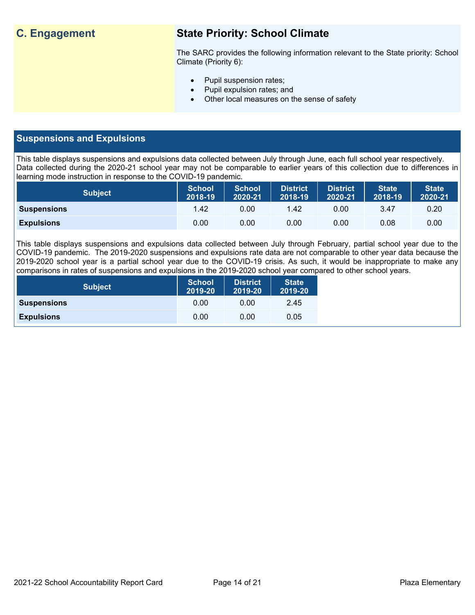## **C. Engagement State Priority: School Climate**

The SARC provides the following information relevant to the State priority: School Climate (Priority 6):

- Pupil suspension rates;
- Pupil expulsion rates; and
- Other local measures on the sense of safety

#### **Suspensions and Expulsions**

This table displays suspensions and expulsions data collected between July through June, each full school year respectively. Data collected during the 2020-21 school year may not be comparable to earlier years of this collection due to differences in learning mode instruction in response to the COVID-19 pandemic.

| <b>Subject</b>     | <b>School</b><br>2018-19 | <b>School</b><br>2020-21 | <b>District</b><br>2018-19 | <b>District</b><br>2020-21 | <b>State</b><br>2018-19 | <b>State</b><br>2020-21 |
|--------------------|--------------------------|--------------------------|----------------------------|----------------------------|-------------------------|-------------------------|
| <b>Suspensions</b> | 1.42                     | 0.00                     | 1.42                       | 0.00                       | 3.47                    | 0.20                    |
| <b>Expulsions</b>  | 0.00                     | 0.00                     | 0.00                       | 0.00                       | 0.08                    | 0.00                    |

This table displays suspensions and expulsions data collected between July through February, partial school year due to the COVID-19 pandemic. The 2019-2020 suspensions and expulsions rate data are not comparable to other year data because the 2019-2020 school year is a partial school year due to the COVID-19 crisis. As such, it would be inappropriate to make any comparisons in rates of suspensions and expulsions in the 2019-2020 school year compared to other school years.

| <b>Subject</b>     | <b>School</b><br>2019-20 | <b>District</b><br>2019-20 | <b>State</b><br>2019-20 |
|--------------------|--------------------------|----------------------------|-------------------------|
| <b>Suspensions</b> | 0.00                     | 0.00                       | 2.45                    |
| <b>Expulsions</b>  | 0.00                     | 0.00                       | 0.05                    |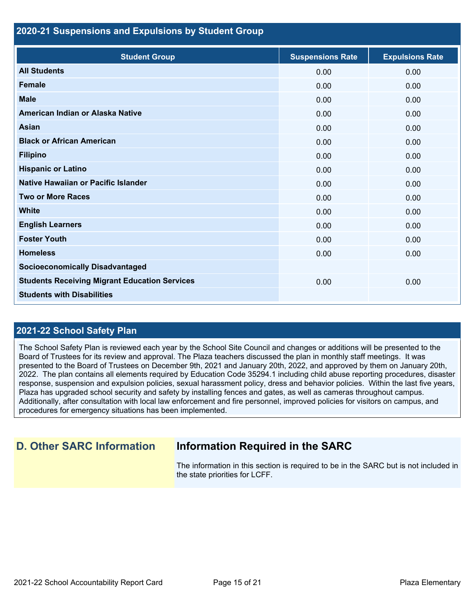#### **2020-21 Suspensions and Expulsions by Student Group**

| <b>Student Group</b>                                 | <b>Suspensions Rate</b> | <b>Expulsions Rate</b> |
|------------------------------------------------------|-------------------------|------------------------|
| <b>All Students</b>                                  | 0.00                    | 0.00                   |
| <b>Female</b>                                        | 0.00                    | 0.00                   |
| <b>Male</b>                                          | 0.00                    | 0.00                   |
| American Indian or Alaska Native                     | 0.00                    | 0.00                   |
| <b>Asian</b>                                         | 0.00                    | 0.00                   |
| <b>Black or African American</b>                     | 0.00                    | 0.00                   |
| <b>Filipino</b>                                      | 0.00                    | 0.00                   |
| <b>Hispanic or Latino</b>                            | 0.00                    | 0.00                   |
| Native Hawaiian or Pacific Islander                  | 0.00                    | 0.00                   |
| <b>Two or More Races</b>                             | 0.00                    | 0.00                   |
| <b>White</b>                                         | 0.00                    | 0.00                   |
| <b>English Learners</b>                              | 0.00                    | 0.00                   |
| <b>Foster Youth</b>                                  | 0.00                    | 0.00                   |
| <b>Homeless</b>                                      | 0.00                    | 0.00                   |
| <b>Socioeconomically Disadvantaged</b>               |                         |                        |
| <b>Students Receiving Migrant Education Services</b> | 0.00                    | 0.00                   |
| <b>Students with Disabilities</b>                    |                         |                        |

#### **2021-22 School Safety Plan**

The School Safety Plan is reviewed each year by the School Site Council and changes or additions will be presented to the Board of Trustees for its review and approval. The Plaza teachers discussed the plan in monthly staff meetings. It was presented to the Board of Trustees on December 9th, 2021 and January 20th, 2022, and approved by them on January 20th, 2022. The plan contains all elements required by Education Code 35294.1 including child abuse reporting procedures, disaster response, suspension and expulsion policies, sexual harassment policy, dress and behavior policies. Within the last five years, Plaza has upgraded school security and safety by installing fences and gates, as well as cameras throughout campus. Additionally, after consultation with local law enforcement and fire personnel, improved policies for visitors on campus, and procedures for emergency situations has been implemented.

#### **D. Other SARC Information Information Required in the SARC**

The information in this section is required to be in the SARC but is not included in the state priorities for LCFF.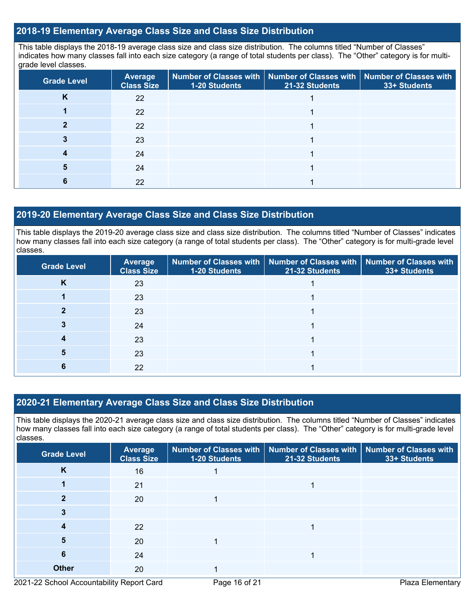#### **2018-19 Elementary Average Class Size and Class Size Distribution**

This table displays the 2018-19 average class size and class size distribution. The columns titled "Number of Classes" indicates how many classes fall into each size category (a range of total students per class). The "Other" category is for multigrade level classes.

| <b>Grade Level</b> | <b>Average</b><br><b>Class Size</b> | Number of Classes with   Number of Classes with   Number of Classes with<br>1-20 Students | 21-32 Students | 33+ Students |
|--------------------|-------------------------------------|-------------------------------------------------------------------------------------------|----------------|--------------|
| K                  | 22                                  |                                                                                           |                |              |
|                    | 22                                  |                                                                                           |                |              |
|                    | 22                                  |                                                                                           |                |              |
|                    | 23                                  |                                                                                           |                |              |
|                    | 24                                  |                                                                                           |                |              |
|                    | 24                                  |                                                                                           |                |              |
|                    | 22                                  |                                                                                           |                |              |

#### **2019-20 Elementary Average Class Size and Class Size Distribution**

This table displays the 2019-20 average class size and class size distribution. The columns titled "Number of Classes" indicates how many classes fall into each size category (a range of total students per class). The "Other" category is for multi-grade level classes.

| <b>Grade Level</b> | Average<br><b>Class Size</b> | <b>1-20 Students</b> | Number of Classes with   Number of Classes with   Number of Classes with<br>21-32 Students | 33+ Students |
|--------------------|------------------------------|----------------------|--------------------------------------------------------------------------------------------|--------------|
| N                  | 23                           |                      |                                                                                            |              |
|                    | 23                           |                      |                                                                                            |              |
|                    | 23                           |                      |                                                                                            |              |
|                    | 24                           |                      |                                                                                            |              |
|                    | 23                           |                      |                                                                                            |              |
|                    | 23                           |                      |                                                                                            |              |
|                    | 22                           |                      |                                                                                            |              |

#### **2020-21 Elementary Average Class Size and Class Size Distribution**

This table displays the 2020-21 average class size and class size distribution. The columns titled "Number of Classes" indicates how many classes fall into each size category (a range of total students per class). The "Other" category is for multi-grade level classes.

| <b>Grade Level</b> | <b>Average</b><br><b>Class Size</b> | 1-20 Students | Number of Classes with   Number of Classes with  <br>21-32 Students | <b>Number of Classes with</b><br>33+ Students |
|--------------------|-------------------------------------|---------------|---------------------------------------------------------------------|-----------------------------------------------|
| K                  | 16                                  |               |                                                                     |                                               |
|                    | 21                                  |               |                                                                     |                                               |
|                    | 20                                  |               |                                                                     |                                               |
|                    |                                     |               |                                                                     |                                               |
|                    | 22                                  |               |                                                                     |                                               |
| 5                  | 20                                  |               |                                                                     |                                               |
| 6                  | 24                                  |               |                                                                     |                                               |
| <b>Other</b>       | 20                                  |               |                                                                     |                                               |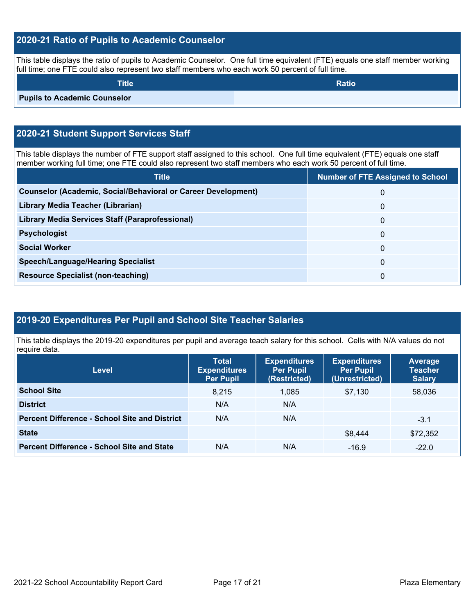#### **2020-21 Ratio of Pupils to Academic Counselor**

This table displays the ratio of pupils to Academic Counselor. One full time equivalent (FTE) equals one staff member working full time; one FTE could also represent two staff members who each work 50 percent of full time.

| Title <b>ˈ</b>                      | <b>Ratio</b> |
|-------------------------------------|--------------|
| <b>Pupils to Academic Counselor</b> |              |

#### **2020-21 Student Support Services Staff**

This table displays the number of FTE support staff assigned to this school. One full time equivalent (FTE) equals one staff member working full time; one FTE could also represent two staff members who each work 50 percent of full time.

| <b>Title</b>                                                         | <b>Number of FTE Assigned to School</b> |
|----------------------------------------------------------------------|-----------------------------------------|
| <b>Counselor (Academic, Social/Behavioral or Career Development)</b> | $\Omega$                                |
| Library Media Teacher (Librarian)                                    | 0                                       |
| Library Media Services Staff (Paraprofessional)                      | $\Omega$                                |
| <b>Psychologist</b>                                                  | $\Omega$                                |
| <b>Social Worker</b>                                                 | $\Omega$                                |
| <b>Speech/Language/Hearing Specialist</b>                            | 0                                       |
| <b>Resource Specialist (non-teaching)</b>                            | 0                                       |

#### **2019-20 Expenditures Per Pupil and School Site Teacher Salaries**

This table displays the 2019-20 expenditures per pupil and average teach salary for this school. Cells with N/A values do not require data.

| <b>Level</b>                                         | <b>Total</b><br><b>Expenditures</b><br><b>Per Pupil</b> | <b>Expenditures</b><br><b>Per Pupil</b><br>(Restricted) | <b>Expenditures</b><br><b>Per Pupil</b><br>(Unrestricted) | <b>Average</b><br><b>Teacher</b><br><b>Salary</b> |
|------------------------------------------------------|---------------------------------------------------------|---------------------------------------------------------|-----------------------------------------------------------|---------------------------------------------------|
| <b>School Site</b>                                   | 8.215                                                   | 1,085                                                   | \$7.130                                                   | 58,036                                            |
| <b>District</b>                                      | N/A                                                     | N/A                                                     |                                                           |                                                   |
| <b>Percent Difference - School Site and District</b> | N/A                                                     | N/A                                                     |                                                           | $-3.1$                                            |
| <b>State</b>                                         |                                                         |                                                         | \$8,444                                                   | \$72,352                                          |
| <b>Percent Difference - School Site and State</b>    | N/A                                                     | N/A                                                     | $-16.9$                                                   | $-22.0$                                           |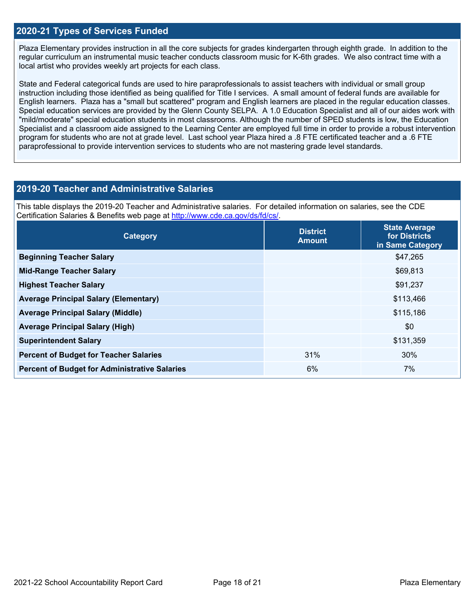#### **2020-21 Types of Services Funded**

Plaza Elementary provides instruction in all the core subjects for grades kindergarten through eighth grade. In addition to the regular curriculum an instrumental music teacher conducts classroom music for K-6th grades. We also contract time with a local artist who provides weekly art projects for each class.

State and Federal categorical funds are used to hire paraprofessionals to assist teachers with individual or small group instruction including those identified as being qualified for Title I services. A small amount of federal funds are available for English learners. Plaza has a "small but scattered" program and English learners are placed in the regular education classes. Special education services are provided by the Glenn County SELPA. A 1.0 Education Specialist and all of our aides work with "mild/moderate" special education students in most classrooms. Although the number of SPED students is low, the Education Specialist and a classroom aide assigned to the Learning Center are employed full time in order to provide a robust intervention program for students who are not at grade level. Last school year Plaza hired a .8 FTE certificated teacher and a .6 FTE paraprofessional to provide intervention services to students who are not mastering grade level standards.

#### **2019-20 Teacher and Administrative Salaries**

This table displays the 2019-20 Teacher and Administrative salaries. For detailed information on salaries, see the CDE Certification Salaries & Benefits web page at [http://www.cde.ca.gov/ds/fd/cs/.](http://www.cde.ca.gov/ds/fd/cs/)

| Category                                             | <b>District</b><br><b>Amount</b> | <b>State Average</b><br>for Districts<br>in Same Category |
|------------------------------------------------------|----------------------------------|-----------------------------------------------------------|
| <b>Beginning Teacher Salary</b>                      |                                  | \$47,265                                                  |
| <b>Mid-Range Teacher Salary</b>                      |                                  | \$69,813                                                  |
| <b>Highest Teacher Salary</b>                        |                                  | \$91,237                                                  |
| <b>Average Principal Salary (Elementary)</b>         |                                  | \$113,466                                                 |
| <b>Average Principal Salary (Middle)</b>             |                                  | \$115,186                                                 |
| <b>Average Principal Salary (High)</b>               |                                  | \$0                                                       |
| <b>Superintendent Salary</b>                         |                                  | \$131,359                                                 |
| <b>Percent of Budget for Teacher Salaries</b>        | 31%                              | 30%                                                       |
| <b>Percent of Budget for Administrative Salaries</b> | 6%                               | 7%                                                        |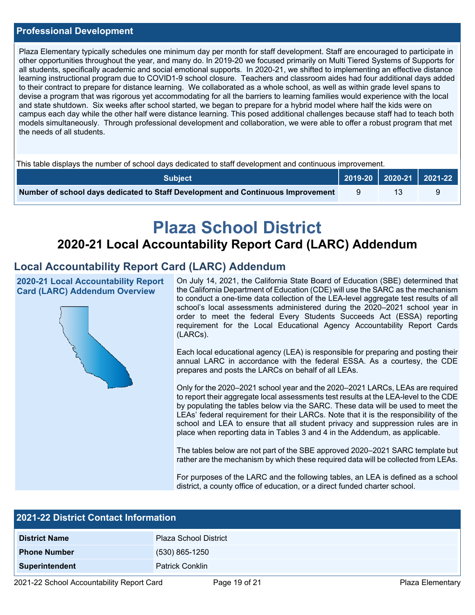#### **Professional Development**

Plaza Elementary typically schedules one minimum day per month for staff development. Staff are encouraged to participate in other opportunities throughout the year, and many do. In 2019-20 we focused primarily on Multi Tiered Systems of Supports for all students, specifically academic and social emotional supports. In 2020-21, we shifted to implementing an effective distance learning instructional program due to COVID1-9 school closure. Teachers and classroom aides had four additional days added to their contract to prepare for distance learning. We collaborated as a whole school, as well as within grade level spans to devise a program that was rigorous yet accommodating for all the barriers to learning families would experience with the local and state shutdown. Six weeks after school started, we began to prepare for a hybrid model where half the kids were on campus each day while the other half were distance learning. This posed additional challenges because staff had to teach both models simultaneously. Through professional development and collaboration, we were able to offer a robust program that met the needs of all students.

This table displays the number of school days dedicated to staff development and continuous improvement.

| <b>Subject</b>                                                                  | 2019-20   2020-21   2021-22 |  |
|---------------------------------------------------------------------------------|-----------------------------|--|
| Number of school days dedicated to Staff Development and Continuous Improvement |                             |  |

# **Plaza School District**

# **2020-21 Local Accountability Report Card (LARC) Addendum**

#### **Local Accountability Report Card (LARC) Addendum**

**2020-21 Local Accountability Report Card (LARC) Addendum Overview**



On July 14, 2021, the California State Board of Education (SBE) determined that the California Department of Education (CDE) will use the SARC as the mechanism to conduct a one-time data collection of the LEA-level aggregate test results of all school's local assessments administered during the 2020–2021 school year in order to meet the federal Every Students Succeeds Act (ESSA) reporting requirement for the Local Educational Agency Accountability Report Cards (LARCs).

Each local educational agency (LEA) is responsible for preparing and posting their annual LARC in accordance with the federal ESSA. As a courtesy, the CDE prepares and posts the LARCs on behalf of all LEAs.

Only for the 2020–2021 school year and the 2020–2021 LARCs, LEAs are required to report their aggregate local assessments test results at the LEA-level to the CDE by populating the tables below via the SARC. These data will be used to meet the LEAs' federal requirement for their LARCs. Note that it is the responsibility of the school and LEA to ensure that all student privacy and suppression rules are in place when reporting data in Tables 3 and 4 in the Addendum, as applicable.

The tables below are not part of the SBE approved 2020–2021 SARC template but rather are the mechanism by which these required data will be collected from LEAs.

For purposes of the LARC and the following tables, an LEA is defined as a school district, a county office of education, or a direct funded charter school.

| <b>2021-22 District Contact Information</b> |  |  |  |  |
|---------------------------------------------|--|--|--|--|
| <b>Plaza School District</b>                |  |  |  |  |
| $(530)$ 865-1250                            |  |  |  |  |
| <b>Patrick Conklin</b>                      |  |  |  |  |
|                                             |  |  |  |  |

2021-22 School Accountability Report Card Page 19 of 21 Plaza Elementary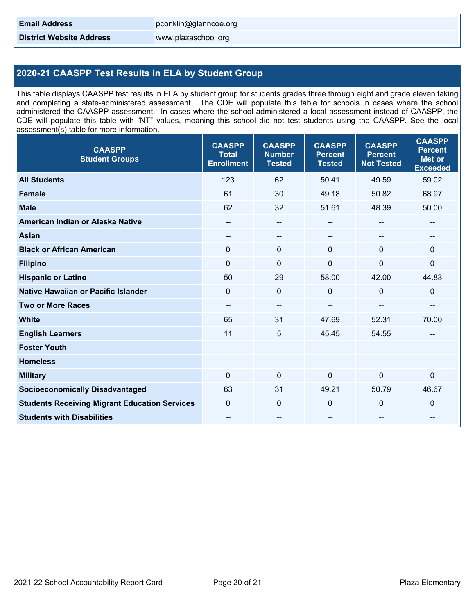**District Website Address** www.plazaschool.org

#### **2020-21 CAASPP Test Results in ELA by Student Group**

This table displays CAASPP test results in ELA by student group for students grades three through eight and grade eleven taking and completing a state-administered assessment. The CDE will populate this table for schools in cases where the school administered the CAASPP assessment. In cases where the school administered a local assessment instead of CAASPP, the CDE will populate this table with "NT" values, meaning this school did not test students using the CAASPP. See the local assessment(s) table for more information.

| <b>CAASPP</b><br><b>Student Groups</b>               | <b>CAASPP</b><br><b>Total</b><br><b>Enrollment</b> | <b>CAASPP</b><br><b>Number</b><br><b>Tested</b> | <b>CAASPP</b><br><b>Percent</b><br><b>Tested</b> | <b>CAASPP</b><br><b>Percent</b><br><b>Not Tested</b> | <b>CAASPP</b><br><b>Percent</b><br><b>Met or</b><br><b>Exceeded</b> |
|------------------------------------------------------|----------------------------------------------------|-------------------------------------------------|--------------------------------------------------|------------------------------------------------------|---------------------------------------------------------------------|
| <b>All Students</b>                                  | 123                                                | 62                                              | 50.41                                            | 49.59                                                | 59.02                                                               |
| <b>Female</b>                                        | 61                                                 | 30                                              | 49.18                                            | 50.82                                                | 68.97                                                               |
| <b>Male</b>                                          | 62                                                 | 32                                              | 51.61                                            | 48.39                                                | 50.00                                                               |
| American Indian or Alaska Native                     | --                                                 | --                                              |                                                  | --                                                   |                                                                     |
| <b>Asian</b>                                         | $\hspace{0.05cm}$ – $\hspace{0.05cm}$              | $-$                                             | $-$                                              | $\overline{\phantom{a}}$                             | --                                                                  |
| <b>Black or African American</b>                     | $\mathbf{0}$                                       | $\mathbf 0$                                     | $\Omega$                                         | $\Omega$                                             | $\mathbf{0}$                                                        |
| <b>Filipino</b>                                      | $\mathbf{0}$                                       | $\mathbf 0$                                     | $\mathbf{0}$                                     | $\mathbf{0}$                                         | 0                                                                   |
| <b>Hispanic or Latino</b>                            | 50                                                 | 29                                              | 58.00                                            | 42.00                                                | 44.83                                                               |
| <b>Native Hawaiian or Pacific Islander</b>           | $\mathbf 0$                                        | $\mathbf 0$                                     | $\mathbf 0$                                      | $\Omega$                                             | 0                                                                   |
| <b>Two or More Races</b>                             | $\hspace{0.05cm}$ – $\hspace{0.05cm}$              | $-$                                             | --                                               | --                                                   | --                                                                  |
| <b>White</b>                                         | 65                                                 | 31                                              | 47.69                                            | 52.31                                                | 70.00                                                               |
| <b>English Learners</b>                              | 11                                                 | 5                                               | 45.45                                            | 54.55                                                | $\qquad \qquad -$                                                   |
| <b>Foster Youth</b>                                  | --                                                 | $-$                                             | $\overline{a}$                                   | --                                                   | --                                                                  |
| <b>Homeless</b>                                      | --                                                 | $-$                                             | --                                               | $-$                                                  | --                                                                  |
| <b>Military</b>                                      | $\Omega$                                           | $\mathbf{0}$                                    | $\Omega$                                         | $\mathbf{0}$                                         | $\Omega$                                                            |
| <b>Socioeconomically Disadvantaged</b>               | 63                                                 | 31                                              | 49.21                                            | 50.79                                                | 46.67                                                               |
| <b>Students Receiving Migrant Education Services</b> | $\Omega$                                           | $\mathbf 0$                                     | 0                                                | $\Omega$                                             | 0                                                                   |
| <b>Students with Disabilities</b>                    |                                                    | --                                              | --                                               | --                                                   | --                                                                  |